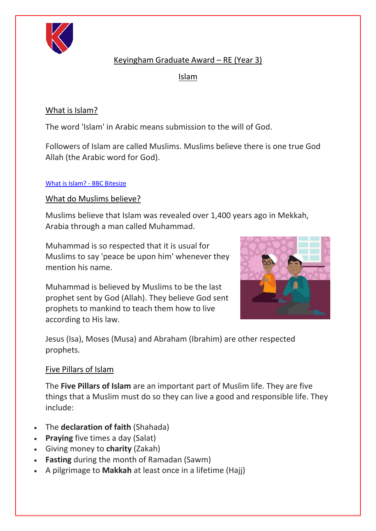

# Keyingham Graduate Award – RE (Year 3)

Islam

# What is Islam?

The word 'Islam' in Arabic means submission to the will of God.

Followers of Islam are called Muslims. Muslims believe there is one true God Allah (the Arabic word for God).

#### [What is Islam? -](https://www.bbc.co.uk/bitesize/topics/zpdtsbk/articles/zrxxgwx) BBC Bitesize

What do Muslims believe?

Muslims believe that Islam was revealed over 1,400 years ago in Mekkah, Arabia through a man called Muhammad.

Muhammad is so respected that it is usual for Muslims to say 'peace be upon him' whenever they mention his name.

Muhammad is believed by Muslims to be the last prophet sent by God (Allah). They believe God sent prophets to mankind to teach them how to live according to His law.



Jesus (Isa), Moses (Musa) and Abraham (Ibrahim) are other respected prophets.

## Five Pillars of Islam

The **Five Pillars of Islam** are an important part of Muslim life. They are five things that a Muslim must do so they can live a good and responsible life. They include:

- The **declaration of faith** (Shahada)
- **Praying** five times a day (Salat)
- Giving money to **charity** (Zakah)
- **Fasting** during the month of Ramadan (Sawm)
- A pilgrimage to **Makkah** at least once in a lifetime (Hajj)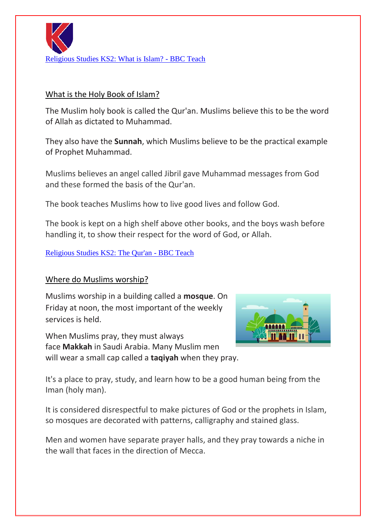

#### What is the Holy Book of Islam?

The Muslim holy book is called the Qur'an. Muslims believe this to be the word of Allah as dictated to Muhammad.

They also have the **Sunnah**, which Muslims believe to be the practical example of Prophet Muhammad.

Muslims believes an angel called Jibril gave Muhammad messages from God and these formed the basis of the Qur'an.

The book teaches Muslims how to live good lives and follow God.

The book is kept on a high shelf above other books, and the boys wash before handling it, to show their respect for the word of God, or Allah.

#### [Religious Studies KS2: The Qur'an -](https://www.bbc.co.uk/teach/class-clips-video/religious-education-ks2-my-life-my-religion-the-quran/z4p8mfr) BBC Teach

### Where do Muslims worship?

Muslims worship in a building called a **mosque**. On Friday at noon, the most important of the weekly services is held.

When Muslims pray, they must always face **Makkah** in Saudi Arabia. Many Muslim men will wear a small cap called a **taqiyah** when they pray.



It's a place to pray, study, and learn how to be a good human being from the Iman (holy man).

It is considered disrespectful to make pictures of God or the prophets in Islam, so mosques are decorated with patterns, calligraphy and stained glass.

Men and women have separate prayer halls, and they pray towards a niche in the wall that faces in the direction of Mecca.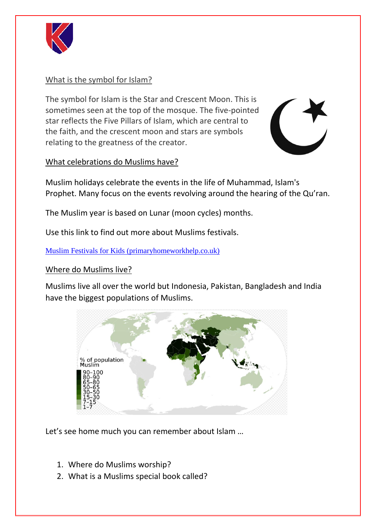

### What is the symbol for Islam?

The symbol for Islam is the Star and Crescent Moon. This is sometimes seen at the top of the mosque. The five-pointed star reflects the Five Pillars of Islam, which are central to the faith, and the crescent moon and stars are symbols relating to the greatness of the creator.



### What celebrations do Muslims have?

Muslim holidays celebrate the events in the life of Muhammad, Islam's Prophet. Many focus on the events revolving around the hearing of the Qu'ran.

The Muslim year is based on Lunar (moon cycles) months.

Use this link to find out more about Muslims festivals.

[Muslim Festivals for Kids \(primaryhomeworkhelp.co.uk\)](http://www.primaryhomeworkhelp.co.uk/religion/muslimfestivals.htm)

### Where do Muslims live?

Muslims live all over the world but Indonesia, Pakistan, Bangladesh and India have the biggest populations of Muslims.



Let's see home much you can remember about Islam …

- 1. Where do Muslims worship?
- 2. What is a Muslims special book called?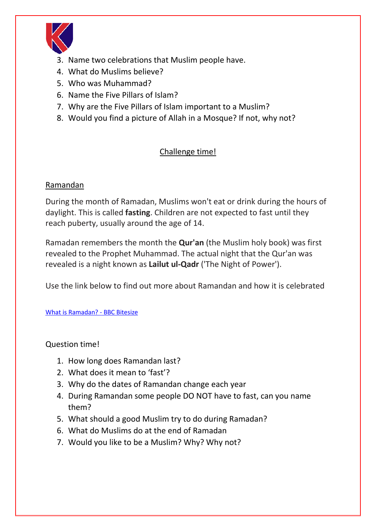

- 3. Name two celebrations that Muslim people have.
- 4. What do Muslims believe?
- 5. Who was Muhammad?
- 6. Name the Five Pillars of Islam?
- 7. Why are the Five Pillars of Islam important to a Muslim?
- 8. Would you find a picture of Allah in a Mosque? If not, why not?

# Challenge time!

### Ramandan

During the month of Ramadan, Muslims won't eat or drink during the hours of daylight. This is called **fasting**. Children are not expected to fast until they reach puberty, usually around the age of 14.

Ramadan remembers the month the **Qur'an** (the Muslim holy book) was first revealed to the Prophet Muhammad. The actual night that the Qur'an was revealed is a night known as **Lailut ul-Qadr** ('The Night of Power').

Use the link below to find out more about Ramandan and how it is celebrated

[What is Ramadan? -](https://www.bbc.co.uk/bitesize/topics/zpdtsbk/articles/zjc2bdm) BBC Bitesize

Question time!

- 1. How long does Ramandan last?
- 2. What does it mean to 'fast'?
- 3. Why do the dates of Ramandan change each year
- 4. During Ramandan some people DO NOT have to fast, can you name them?
- 5. What should a good Muslim try to do during Ramadan?
- 6. What do Muslims do at the end of Ramadan
- 7. Would you like to be a Muslim? Why? Why not?